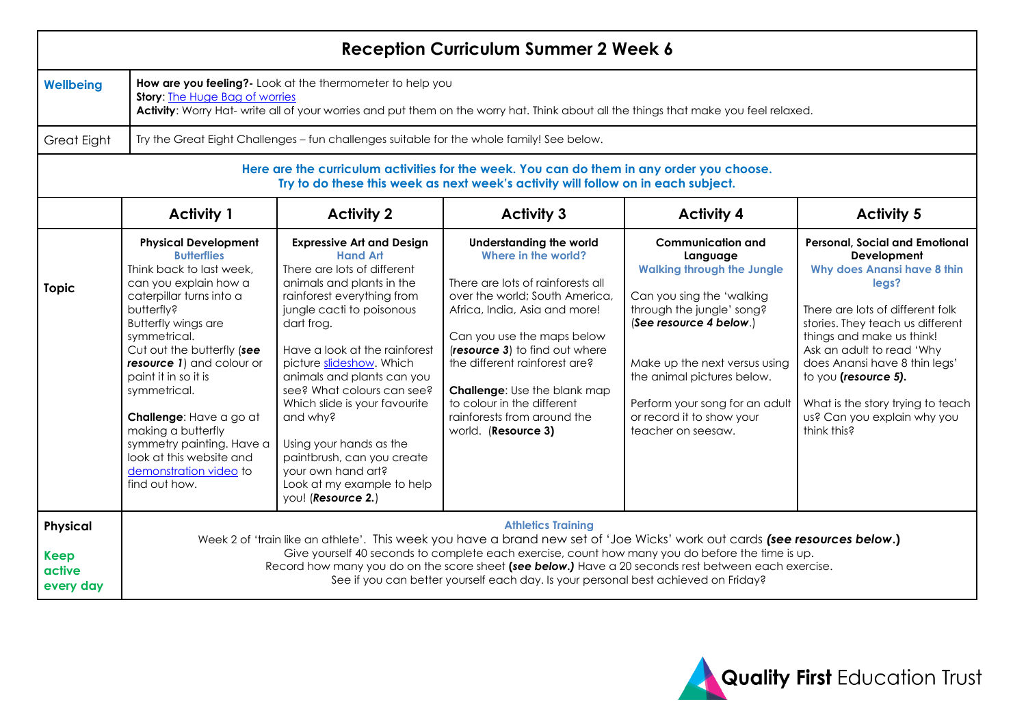| <b>Reception Curriculum Summer 2 Week 6</b>                                                                                                                                    |                                                                                                                                                                                                                                                                                                                                                                                                                                                           |                                                                                                                                                                                                                                                                                                                                                                                                                                                                                                   |                                                                                                                                                                                                                                                                                                                                                                                           |                                                                                                                                                                                                                                                                                                                    |                                                                                                                                                                                                                                                                                                                                                                                   |  |  |  |  |  |
|--------------------------------------------------------------------------------------------------------------------------------------------------------------------------------|-----------------------------------------------------------------------------------------------------------------------------------------------------------------------------------------------------------------------------------------------------------------------------------------------------------------------------------------------------------------------------------------------------------------------------------------------------------|---------------------------------------------------------------------------------------------------------------------------------------------------------------------------------------------------------------------------------------------------------------------------------------------------------------------------------------------------------------------------------------------------------------------------------------------------------------------------------------------------|-------------------------------------------------------------------------------------------------------------------------------------------------------------------------------------------------------------------------------------------------------------------------------------------------------------------------------------------------------------------------------------------|--------------------------------------------------------------------------------------------------------------------------------------------------------------------------------------------------------------------------------------------------------------------------------------------------------------------|-----------------------------------------------------------------------------------------------------------------------------------------------------------------------------------------------------------------------------------------------------------------------------------------------------------------------------------------------------------------------------------|--|--|--|--|--|
| <b>Wellbeing</b>                                                                                                                                                               | How are you feeling?- Look at the thermometer to help you<br><b>Story:</b> The Huge Bag of worries<br>Activity: Worry Hat- write all of your worries and put them on the worry hat. Think about all the things that make you feel relaxed.                                                                                                                                                                                                                |                                                                                                                                                                                                                                                                                                                                                                                                                                                                                                   |                                                                                                                                                                                                                                                                                                                                                                                           |                                                                                                                                                                                                                                                                                                                    |                                                                                                                                                                                                                                                                                                                                                                                   |  |  |  |  |  |
| <b>Great Eight</b>                                                                                                                                                             | Try the Great Eight Challenges - fun challenges suitable for the whole family! See below.                                                                                                                                                                                                                                                                                                                                                                 |                                                                                                                                                                                                                                                                                                                                                                                                                                                                                                   |                                                                                                                                                                                                                                                                                                                                                                                           |                                                                                                                                                                                                                                                                                                                    |                                                                                                                                                                                                                                                                                                                                                                                   |  |  |  |  |  |
| Here are the curriculum activities for the week. You can do them in any order you choose.<br>Try to do these this week as next week's activity will follow on in each subject. |                                                                                                                                                                                                                                                                                                                                                                                                                                                           |                                                                                                                                                                                                                                                                                                                                                                                                                                                                                                   |                                                                                                                                                                                                                                                                                                                                                                                           |                                                                                                                                                                                                                                                                                                                    |                                                                                                                                                                                                                                                                                                                                                                                   |  |  |  |  |  |
|                                                                                                                                                                                | <b>Activity 1</b>                                                                                                                                                                                                                                                                                                                                                                                                                                         | <b>Activity 2</b>                                                                                                                                                                                                                                                                                                                                                                                                                                                                                 | <b>Activity 3</b>                                                                                                                                                                                                                                                                                                                                                                         | <b>Activity 4</b>                                                                                                                                                                                                                                                                                                  | <b>Activity 5</b>                                                                                                                                                                                                                                                                                                                                                                 |  |  |  |  |  |
| <b>Topic</b>                                                                                                                                                                   | <b>Physical Development</b><br><b>Butterflies</b><br>Think back to last week,<br>can you explain how a<br>caterpillar turns into a<br>butterfly?<br><b>Butterfly wings are</b><br>symmetrical.<br>Cut out the butterfly (see<br>resource 1) and colour or<br>paint it in so it is<br>symmetrical.<br>Challenge: Have a go at<br>making a butterfly<br>symmetry painting. Have a<br>look at this website and<br>demonstration video to<br>find out how.    | <b>Expressive Art and Design</b><br><b>Hand Art</b><br>There are lots of different<br>animals and plants in the<br>rainforest everything from<br>jungle cacti to poisonous<br>dart frog.<br>Have a look at the rainforest<br>picture slideshow. Which<br>animals and plants can you<br>see? What colours can see?<br>Which slide is your favourite<br>and why?<br>Using your hands as the<br>paintbrush, can you create<br>your own hand art?<br>Look at my example to help<br>you! (Resource 2.) | <b>Understanding the world</b><br>Where in the world?<br>There are lots of rainforests all<br>over the world; South America,<br>Africa, India, Asia and more!<br>Can you use the maps below<br>(resource 3) to find out where<br>the different rainforest are?<br><b>Challenge:</b> Use the blank map<br>to colour in the different<br>rainforests from around the<br>world. (Resource 3) | <b>Communication and</b><br>Language<br><b>Walking through the Jungle</b><br>Can you sing the 'walking<br>through the jungle' song?<br>(See resource 4 below.)<br>Make up the next versus using<br>the animal pictures below.<br>Perform your song for an adult<br>or record it to show your<br>teacher on seesaw. | <b>Personal, Social and Emotional</b><br>Development<br><b>Why does Anansi have 8 thin</b><br>legs?<br>There are lots of different folk<br>stories. They teach us different<br>things and make us think!<br>Ask an adult to read 'Why<br>does Anansi have 8 thin legs'<br>to you (resource 5).<br>What is the story trying to teach<br>us? Can you explain why you<br>think this? |  |  |  |  |  |
| Physical<br><b>Keep</b><br>active<br>every day                                                                                                                                 | <b>Athletics Training</b><br>Week 2 of 'train like an athlete'. This week you have a brand new set of 'Joe Wicks' work out cards (see resources below.)<br>Give yourself 40 seconds to complete each exercise, count how many you do before the time is up.<br>Record how many you do on the score sheet (see below.) Have a 20 seconds rest between each exercise.<br>See if you can better yourself each day. Is your personal best achieved on Friday? |                                                                                                                                                                                                                                                                                                                                                                                                                                                                                                   |                                                                                                                                                                                                                                                                                                                                                                                           |                                                                                                                                                                                                                                                                                                                    |                                                                                                                                                                                                                                                                                                                                                                                   |  |  |  |  |  |

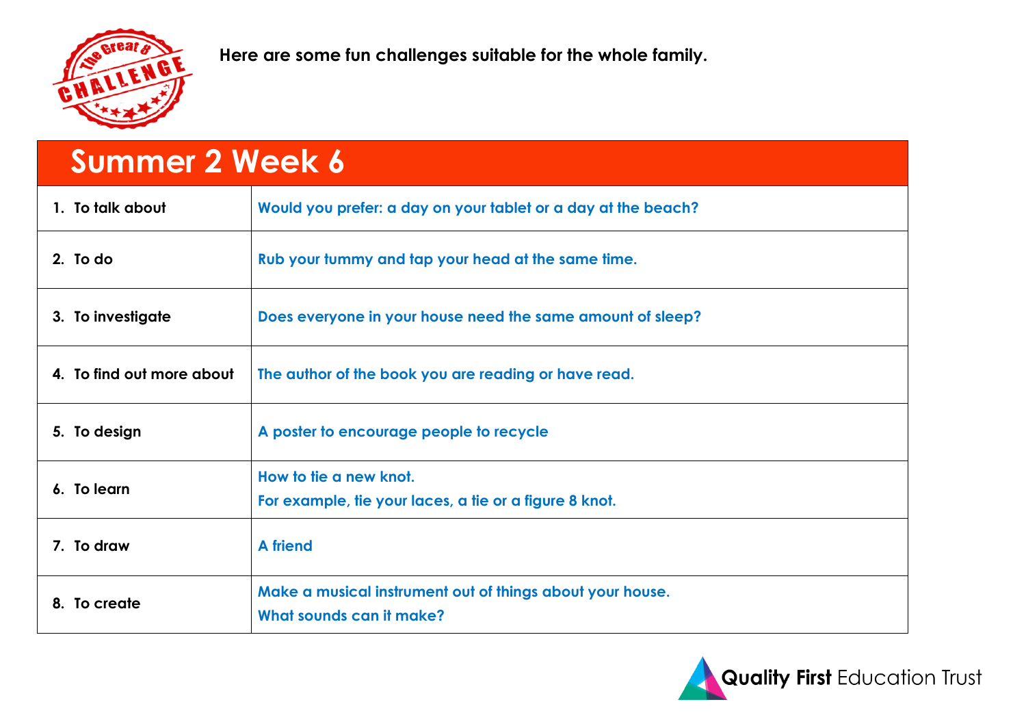

**Here are some fun challenges suitable for the whole family.**

| <b>Summer 2 Week 6</b>    |                                                               |  |  |  |  |  |
|---------------------------|---------------------------------------------------------------|--|--|--|--|--|
| 1. To talk about          | Would you prefer: a day on your tablet or a day at the beach? |  |  |  |  |  |
| 2. To do                  | Rub your tummy and tap your head at the same time.            |  |  |  |  |  |
| 3. To investigate         | Does everyone in your house need the same amount of sleep?    |  |  |  |  |  |
| 4. To find out more about | The author of the book you are reading or have read.          |  |  |  |  |  |
| 5. To design              | A poster to encourage people to recycle                       |  |  |  |  |  |
|                           | How to tie a new knot.                                        |  |  |  |  |  |
| 6. To learn               | For example, tie your laces, a tie or a figure 8 knot.        |  |  |  |  |  |
| 7. To draw                | <b>A</b> friend                                               |  |  |  |  |  |
| 8. To create              | Make a musical instrument out of things about your house.     |  |  |  |  |  |
|                           | What sounds can it make?                                      |  |  |  |  |  |

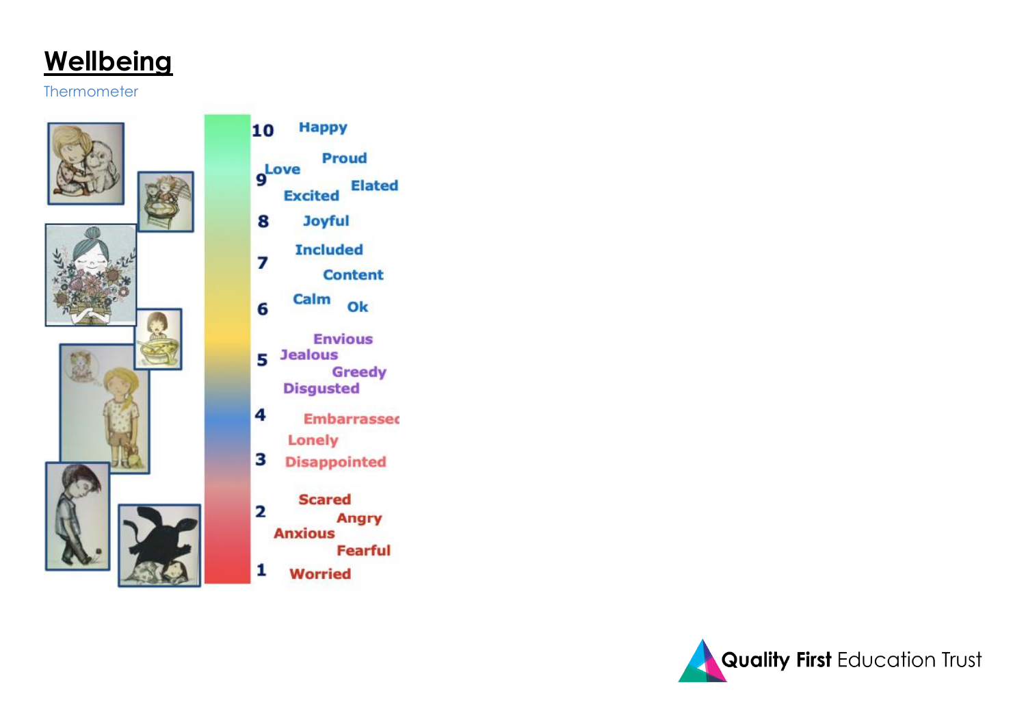# Wellbeing

#### Thermometer



#### **Happy** 10

Proud

- gLove **Excited** Elated
- **Joyful** 8
- **Included** 7
	- **Content**
- Calm Ok 6
	- **Envious**
- 5 Jealous **Greedy** 
	- **Disgusted**
- 4 **Embarrassed Lonely**
- З **Disappointed**
- **Scared**
- $\overline{\mathbf{2}}$ **Angry** 
	- **Anxious** 
		- Fearful
- 1 **Worried**

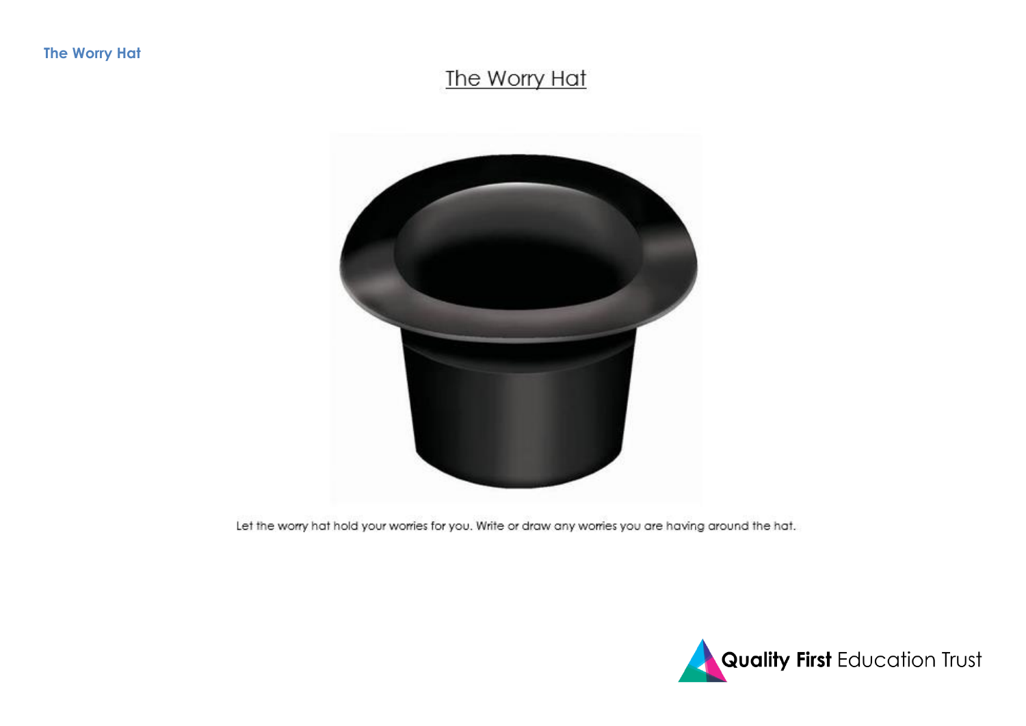### The Worry Hat



Let the worry hat hold your worries for you. Write or draw any worries you are having around the hat.

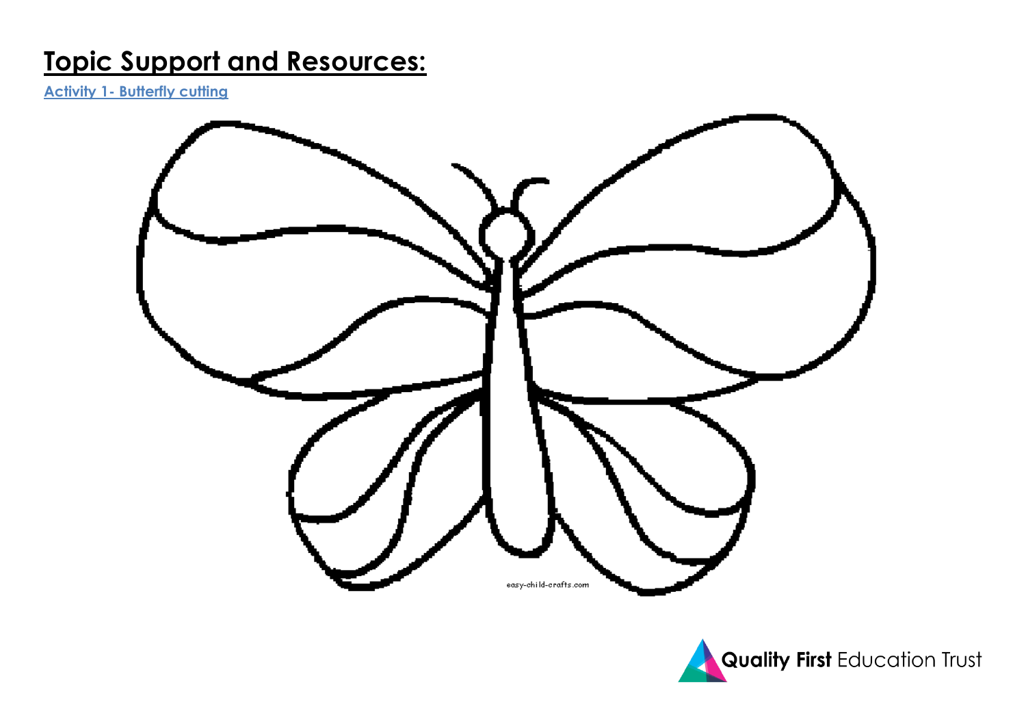## **Topic Support and Resources:**

**Activity 1- Butterfly cutting**



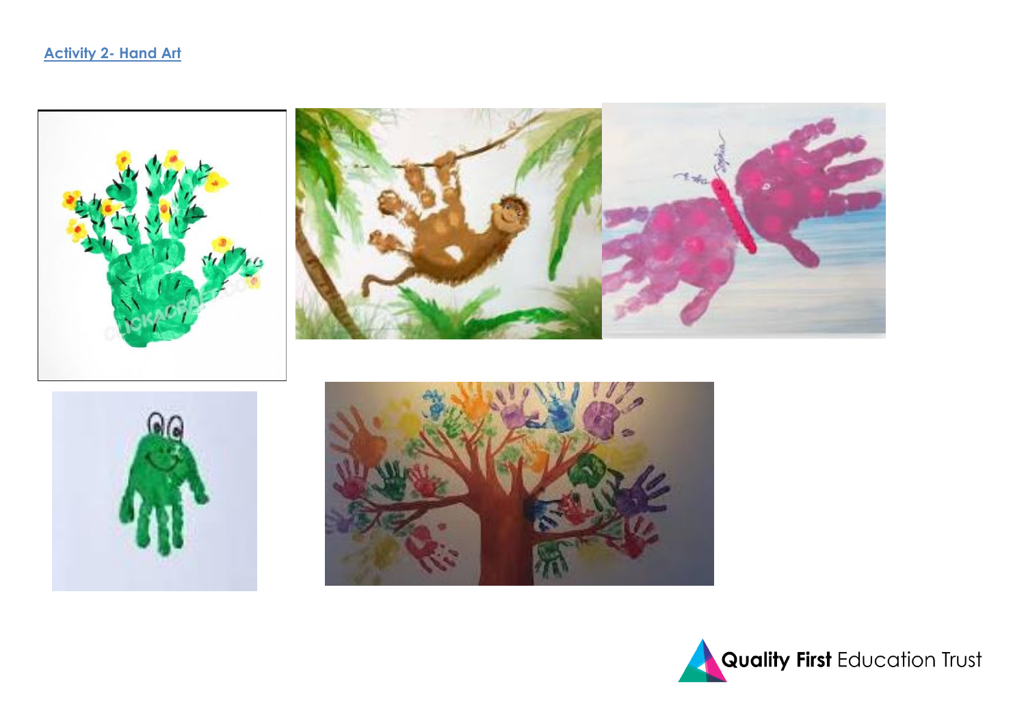





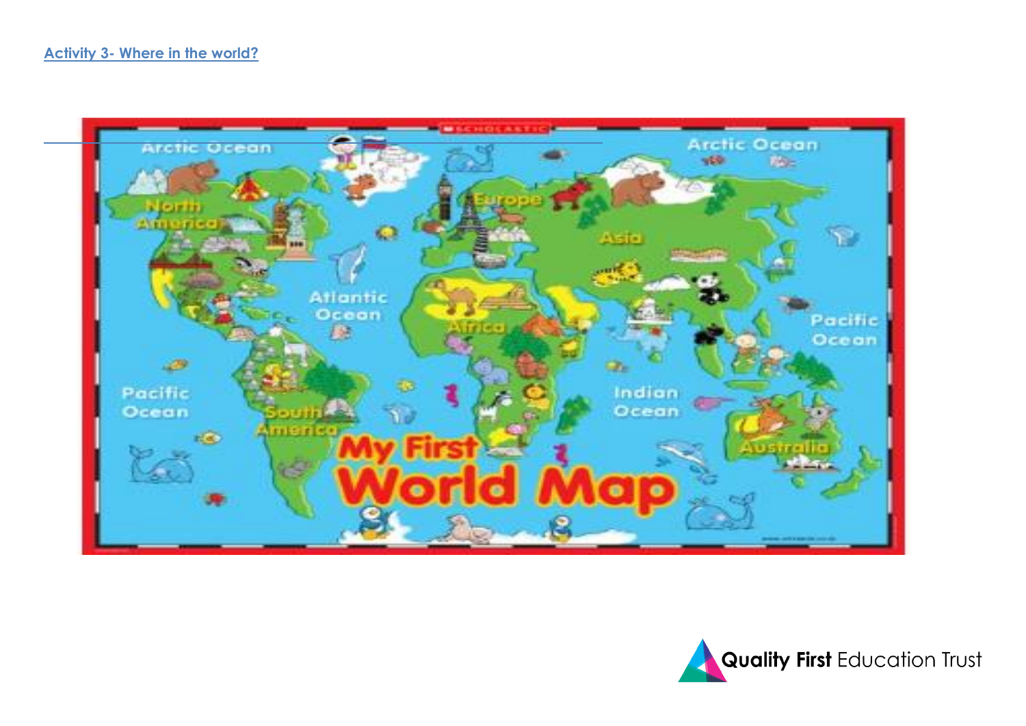

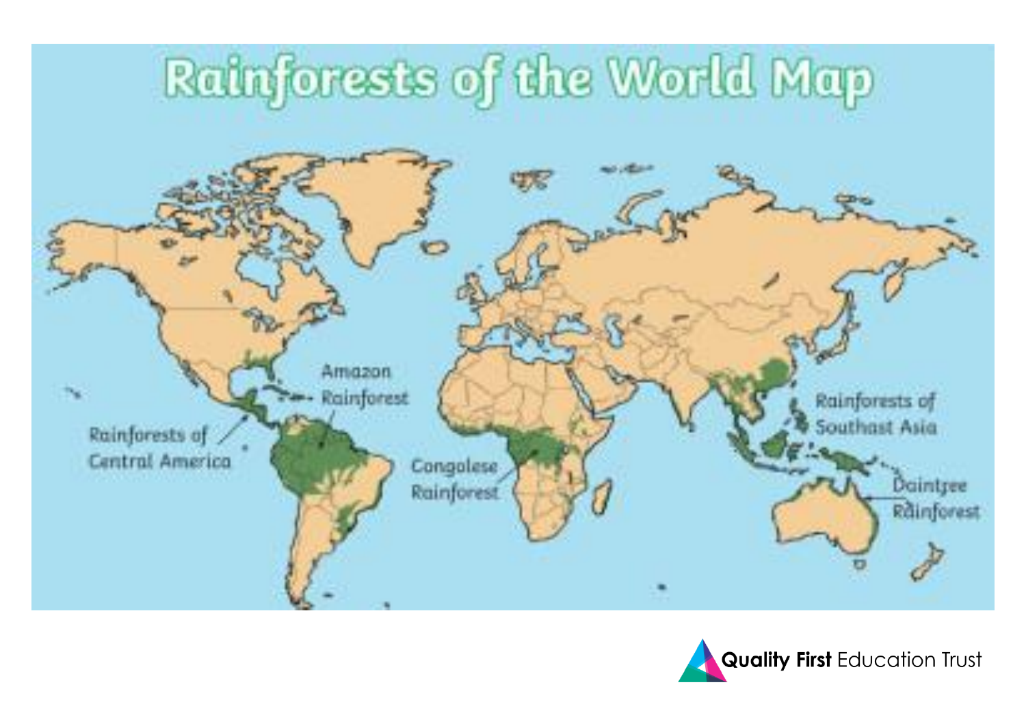

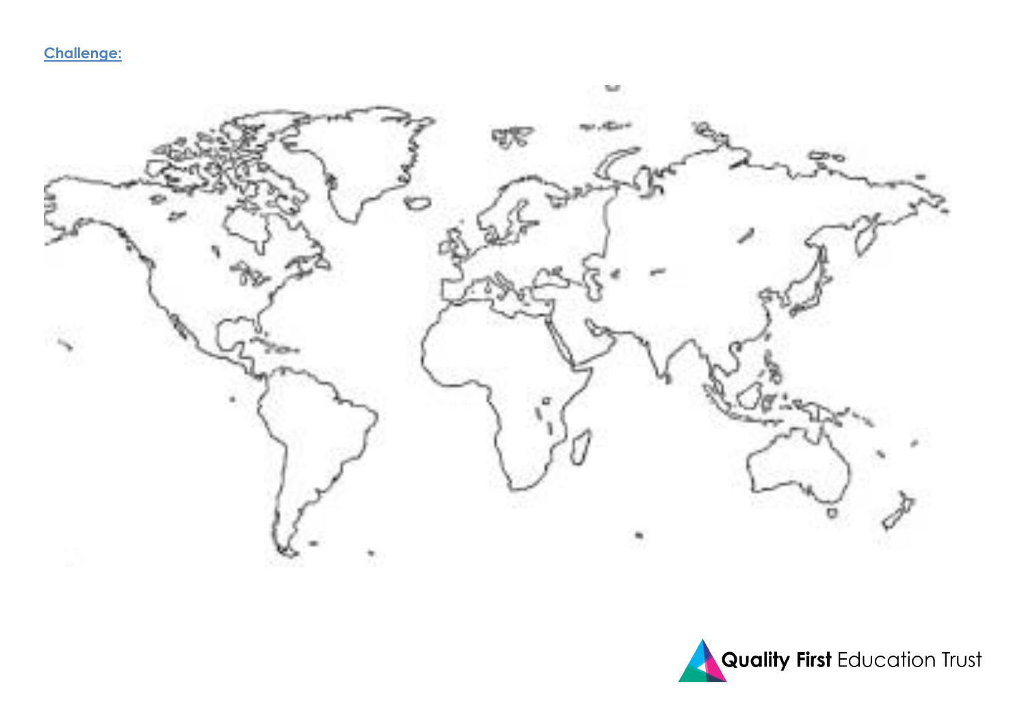**Challenge:** 



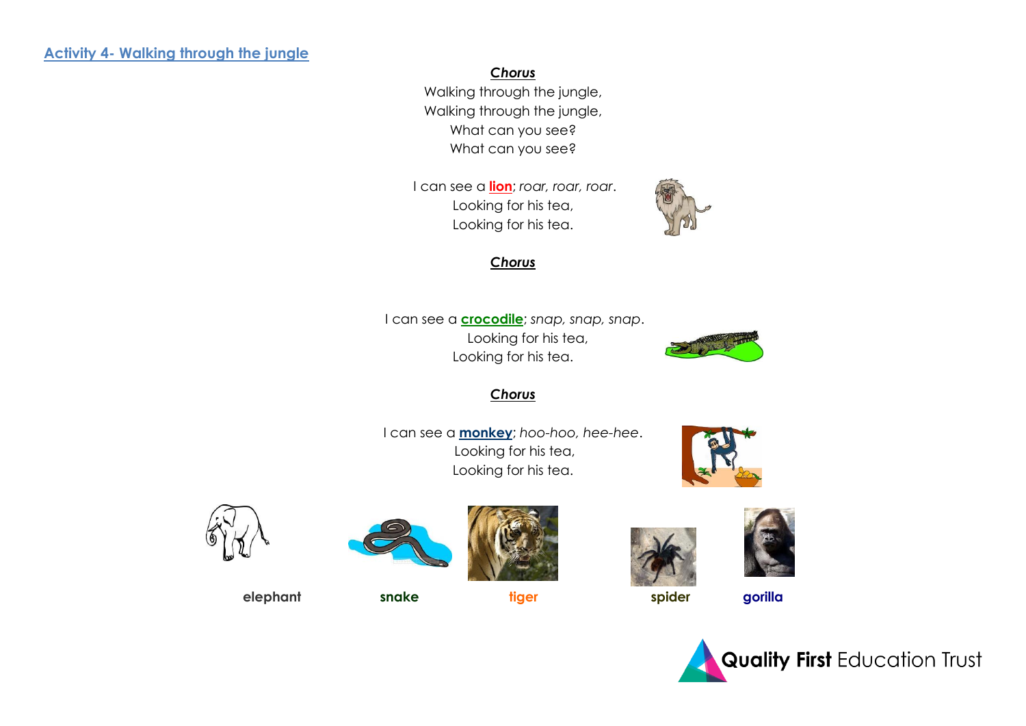#### **Activity 4- Walking through the jungle**

#### *Chorus*

Walking through the jungle, Walking through the jungle, What can you see? What can you see?

I can see a **lion**; *roar, roar, roar*. Looking for his tea, Looking for his tea.



#### *Chorus*

I can see a **crocodile**; *snap, snap, snap*. Looking for his tea, Looking for his tea.



#### *Chorus*

I can see a **monkey**; *hoo-hoo, hee-hee*. Looking for his tea, Looking for his tea.















elephant snake tiger spider gorilla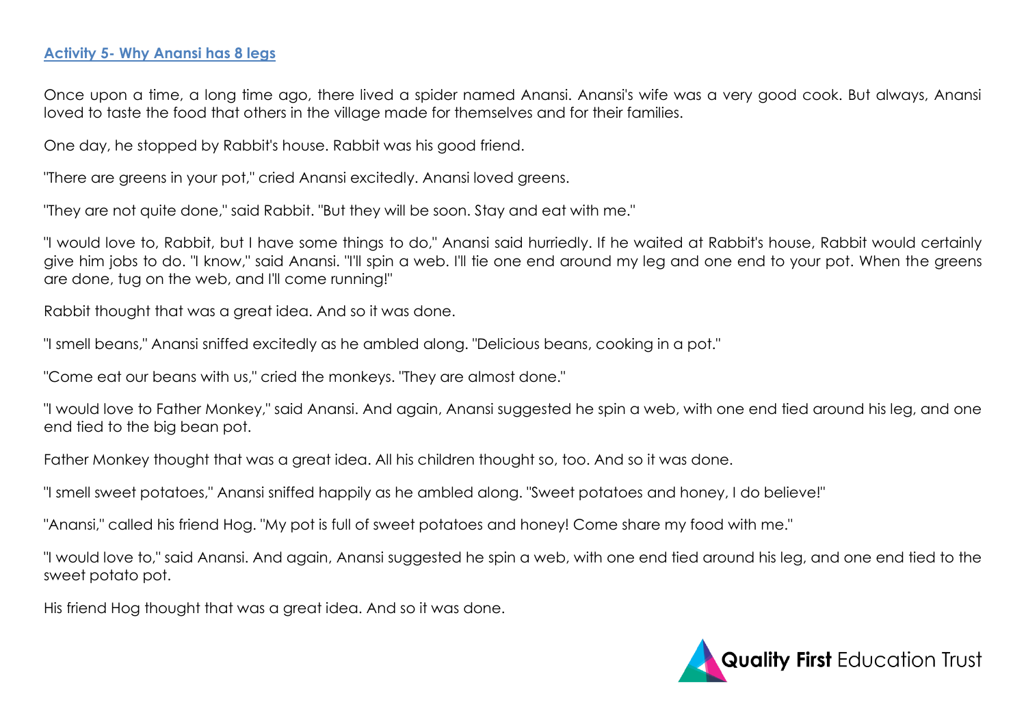#### **Activity 5- Why Anansi has 8 legs**

Once upon a time, a long time ago, there lived a spider named Anansi. Anansi's wife was a very good cook. But always, Anansi loved to taste the food that others in the village made for themselves and for their families.

One day, he stopped by Rabbit's house. Rabbit was his good friend.

"There are greens in your pot," cried Anansi excitedly. Anansi loved greens.

"They are not quite done," said Rabbit. "But they will be soon. Stay and eat with me."

"I would love to, Rabbit, but I have some things to do," Anansi said hurriedly. If he waited at Rabbit's house, Rabbit would certainly give him jobs to do. "I know," said Anansi. "I'll spin a web. I'll tie one end around my leg and one end to your pot. When the greens are done, tug on the web, and I'll come running!"

Rabbit thought that was a great idea. And so it was done.

"I smell beans," Anansi sniffed excitedly as he ambled along. "Delicious beans, cooking in a pot."

"Come eat our beans with us," cried the monkeys. "They are almost done."

"I would love to Father Monkey," said Anansi. And again, Anansi suggested he spin a web, with one end tied around his leg, and one end tied to the big bean pot.

Father Monkey thought that was a great idea. All his children thought so, too. And so it was done.

"I smell sweet potatoes," Anansi sniffed happily as he ambled along. "Sweet potatoes and honey, I do believe!"

"Anansi," called his friend Hog. "My pot is full of sweet potatoes and honey! Come share my food with me."

"I would love to," said Anansi. And again, Anansi suggested he spin a web, with one end tied around his leg, and one end tied to the sweet potato pot.

His friend Hog thought that was a great idea. And so it was done.

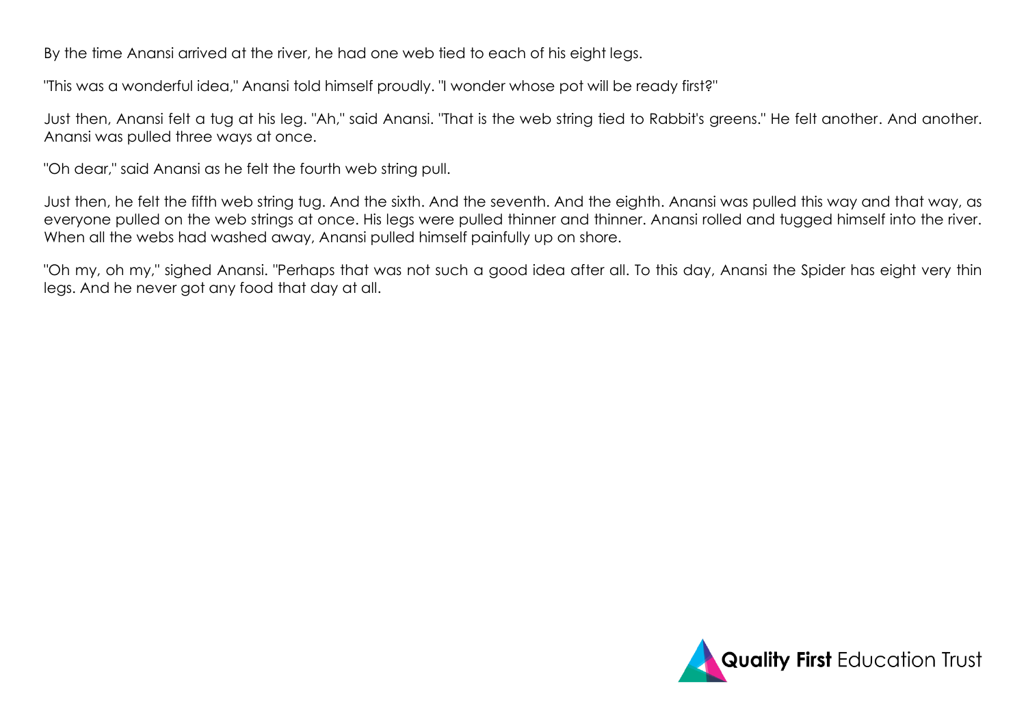By the time Anansi arrived at the river, he had one web tied to each of his eight legs.

"This was a wonderful idea," Anansi told himself proudly. "I wonder whose pot will be ready first?"

Just then, Anansi felt a tug at his leg. "Ah," said Anansi. "That is the web string tied to Rabbit's greens." He felt another. And another. Anansi was pulled three ways at once.

"Oh dear," said Anansi as he felt the fourth web string pull.

Just then, he felt the fifth web string tug. And the sixth. And the seventh. And the eighth. Anansi was pulled this way and that way, as everyone pulled on the web strings at once. His legs were pulled thinner and thinner. Anansi rolled and tugged himself into the river. When all the webs had washed away, Anansi pulled himself painfully up on shore.

"Oh my, oh my," sighed Anansi. "Perhaps that was not such a good idea after all. To this day, Anansi the Spider has eight very thin legs. And he never got any food that day at all.

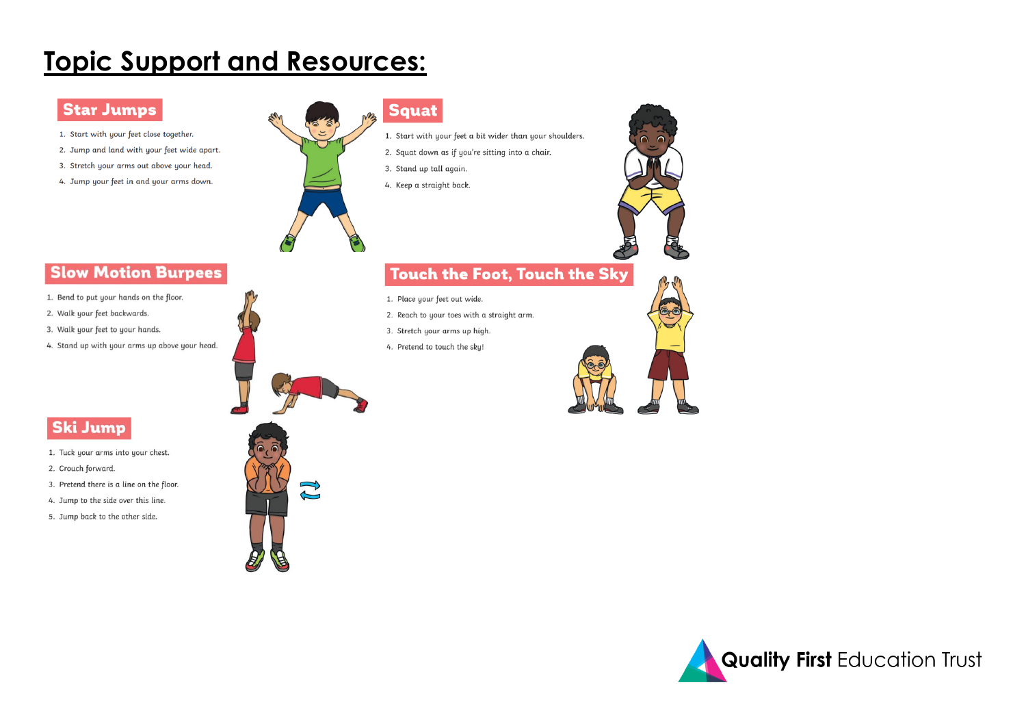# **Topic Support and Resources:**

#### **Star Jumps**

- 1. Start with your feet close together.
- 2. Jump and land with your feet wide apart.
- 3. Stretch your arms out above your head.
- 4. Jump your feet in and your arms down.



#### **Squat**

- 1. Start with your feet a bit wider than your shoulders.
- 2. Squat down as if you're sitting into a chair.
- 3. Stand up tall again.
- 4. Keep a straight back.



- 1. Bend to put your hands on the floor.
- 2. Walk your feet backwards.
- 3. Walk your feet to your hands.
- 4. Stand up with your arms up above your head.



 $\mathbb{C}$ 

### **Touch the Foot, Touch the Sky**

- 1. Place your feet out wide.
- 2. Reach to your toes with a straight arm.
- 3. Stretch your arms up high.
- 4. Pretend to touch the sky!





### **Ski Jump**

- 1. Tuck your arms into your chest.
- 2. Crouch forward.
- 3. Pretend there is a line on the floor.
- 4. Jump to the side over this line.
- 5. Jump back to the other side.